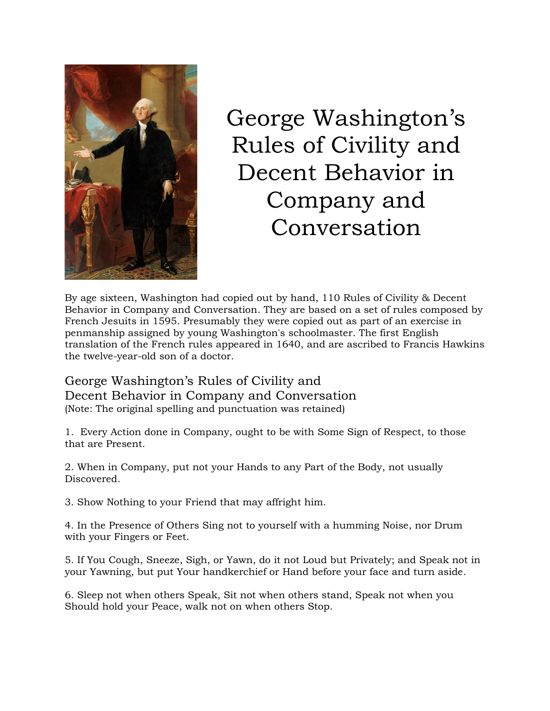

## George Washington's Rules of Civility and Decent Behavior in Company and Conversation

By age sixteen, Washington had copied out by hand, 110 Rules of Civility & Decent Behavior in Company and Conversation. They are based on a set of rules composed by French Jesuits in 1595. Presumably they were copied out as part of an exercise in penmanship assigned by young Washington's schoolmaster. The first English translation of the French rules appeared in 1640, and are ascribed to Francis Hawkins the twelve-year-old son of a doctor.

George Washington's Rules of Civility and Decent Behavior in Company and Conversation (Note: The original spelling and punctuation was retained)

1. Every Action done in Company, ought to be with Some Sign of Respect, to those that are Present.

2. When in Company, put not your Hands to any Part of the Body, not usually Discovered.

3. Show Nothing to your Friend that may affright him.

4. In the Presence of Others Sing not to yourself with a humming Noise, nor Drum with your Fingers or Feet.

5. If You Cough, Sneeze, Sigh, or Yawn, do it not Loud but Privately; and Speak not in your Yawning, but put Your handkerchief or Hand before your face and turn aside.

6. Sleep not when others Speak, Sit not when others stand, Speak not when you Should hold your Peace, walk not on when others Stop.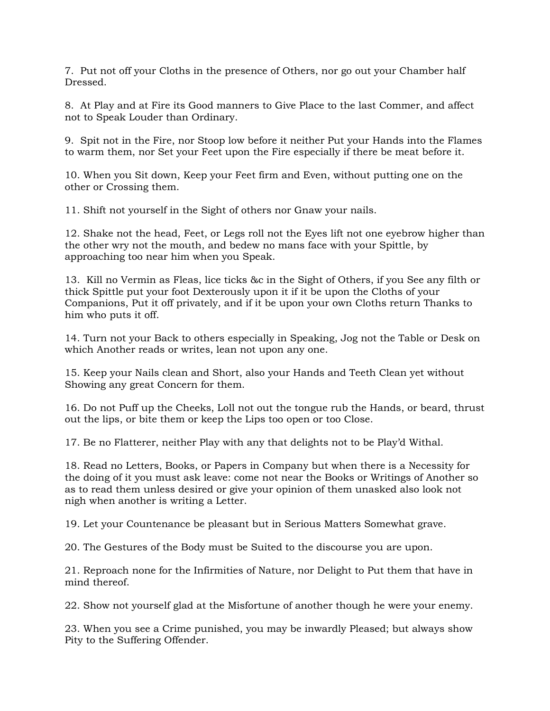7. Put not off your Cloths in the presence of Others, nor go out your Chamber half Dressed.

8. At Play and at Fire its Good manners to Give Place to the last Commer, and affect not to Speak Louder than Ordinary.

9. Spit not in the Fire, nor Stoop low before it neither Put your Hands into the Flames to warm them, nor Set your Feet upon the Fire especially if there be meat before it.

10. When you Sit down, Keep your Feet firm and Even, without putting one on the other or Crossing them.

11. Shift not yourself in the Sight of others nor Gnaw your nails.

12. Shake not the head, Feet, or Legs roll not the Eyes lift not one eyebrow higher than the other wry not the mouth, and bedew no mans face with your Spittle, by approaching too near him when you Speak.

13. Kill no Vermin as Fleas, lice ticks &c in the Sight of Others, if you See any filth or thick Spittle put your foot Dexterously upon it if it be upon the Cloths of your Companions, Put it off privately, and if it be upon your own Cloths return Thanks to him who puts it off.

14. Turn not your Back to others especially in Speaking, Jog not the Table or Desk on which Another reads or writes, lean not upon any one.

15. Keep your Nails clean and Short, also your Hands and Teeth Clean yet without Showing any great Concern for them.

16. Do not Puff up the Cheeks, Loll not out the tongue rub the Hands, or beard, thrust out the lips, or bite them or keep the Lips too open or too Close.

17. Be no Flatterer, neither Play with any that delights not to be Play'd Withal.

18. Read no Letters, Books, or Papers in Company but when there is a Necessity for the doing of it you must ask leave: come not near the Books or Writings of Another so as to read them unless desired or give your opinion of them unasked also look not nigh when another is writing a Letter.

19. Let your Countenance be pleasant but in Serious Matters Somewhat grave.

20. The Gestures of the Body must be Suited to the discourse you are upon.

21. Reproach none for the Infirmities of Nature, nor Delight to Put them that have in mind thereof.

22. Show not yourself glad at the Misfortune of another though he were your enemy.

23. When you see a Crime punished, you may be inwardly Pleased; but always show Pity to the Suffering Offender.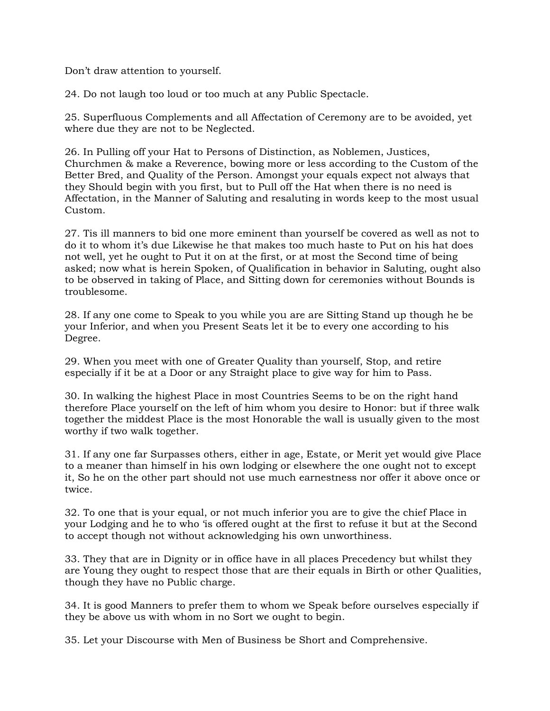Don't draw attention to yourself.

24. Do not laugh too loud or too much at any Public Spectacle.

25. Superfluous Complements and all Affectation of Ceremony are to be avoided, yet where due they are not to be Neglected.

26. In Pulling off your Hat to Persons of Distinction, as Noblemen, Justices, Churchmen & make a Reverence, bowing more or less according to the Custom of the Better Bred, and Quality of the Person. Amongst your equals expect not always that they Should begin with you first, but to Pull off the Hat when there is no need is Affectation, in the Manner of Saluting and resaluting in words keep to the most usual Custom.

27. Tis ill manners to bid one more eminent than yourself be covered as well as not to do it to whom it's due Likewise he that makes too much haste to Put on his hat does not well, yet he ought to Put it on at the first, or at most the Second time of being asked; now what is herein Spoken, of Qualification in behavior in Saluting, ought also to be observed in taking of Place, and Sitting down for ceremonies without Bounds is troublesome.

28. If any one come to Speak to you while you are are Sitting Stand up though he be your Inferior, and when you Present Seats let it be to every one according to his Degree.

29. When you meet with one of Greater Quality than yourself, Stop, and retire especially if it be at a Door or any Straight place to give way for him to Pass.

30. In walking the highest Place in most Countries Seems to be on the right hand therefore Place yourself on the left of him whom you desire to Honor: but if three walk together the middest Place is the most Honorable the wall is usually given to the most worthy if two walk together.

31. If any one far Surpasses others, either in age, Estate, or Merit yet would give Place to a meaner than himself in his own lodging or elsewhere the one ought not to except it, So he on the other part should not use much earnestness nor offer it above once or twice.

32. To one that is your equal, or not much inferior you are to give the chief Place in your Lodging and he to who 'is offered ought at the first to refuse it but at the Second to accept though not without acknowledging his own unworthiness.

33. They that are in Dignity or in office have in all places Precedency but whilst they are Young they ought to respect those that are their equals in Birth or other Qualities, though they have no Public charge.

34. It is good Manners to prefer them to whom we Speak before ourselves especially if they be above us with whom in no Sort we ought to begin.

35. Let your Discourse with Men of Business be Short and Comprehensive.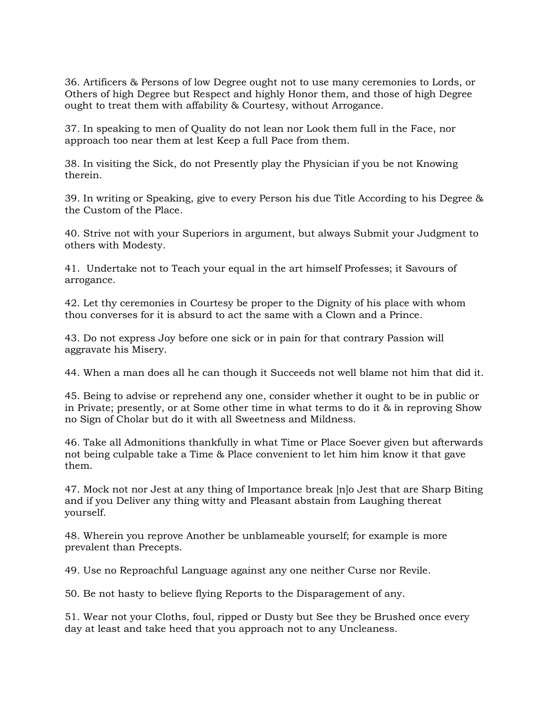36. Artificers & Persons of low Degree ought not to use many ceremonies to Lords, or Others of high Degree but Respect and highly Honor them, and those of high Degree ought to treat them with affability & Courtesy, without Arrogance.

37. In speaking to men of Quality do not lean nor Look them full in the Face, nor approach too near them at lest Keep a full Pace from them.

38. In visiting the Sick, do not Presently play the Physician if you be not Knowing therein.

39. In writing or Speaking, give to every Person his due Title According to his Degree & the Custom of the Place.

40. Strive not with your Superiors in argument, but always Submit your Judgment to others with Modesty.

41. Undertake not to Teach your equal in the art himself Professes; it Savours of arrogance.

42. Let thy ceremonies in Courtesy be proper to the Dignity of his place with whom thou converses for it is absurd to act the same with a Clown and a Prince.

43. Do not express Joy before one sick or in pain for that contrary Passion will aggravate his Misery.

44. When a man does all he can though it Succeeds not well blame not him that did it.

45. Being to advise or reprehend any one, consider whether it ought to be in public or in Private; presently, or at Some other time in what terms to do it & in reproving Show no Sign of Cholar but do it with all Sweetness and Mildness.

46. Take all Admonitions thankfully in what Time or Place Soever given but afterwards not being culpable take a Time & Place convenient to let him him know it that gave them.

47. Mock not nor Jest at any thing of Importance break [n]o Jest that are Sharp Biting and if you Deliver any thing witty and Pleasant abstain from Laughing thereat yourself.

48. Wherein you reprove Another be unblameable yourself; for example is more prevalent than Precepts.

49. Use no Reproachful Language against any one neither Curse nor Revile.

50. Be not hasty to believe flying Reports to the Disparagement of any.

51. Wear not your Cloths, foul, ripped or Dusty but See they be Brushed once every day at least and take heed that you approach not to any Uncleaness.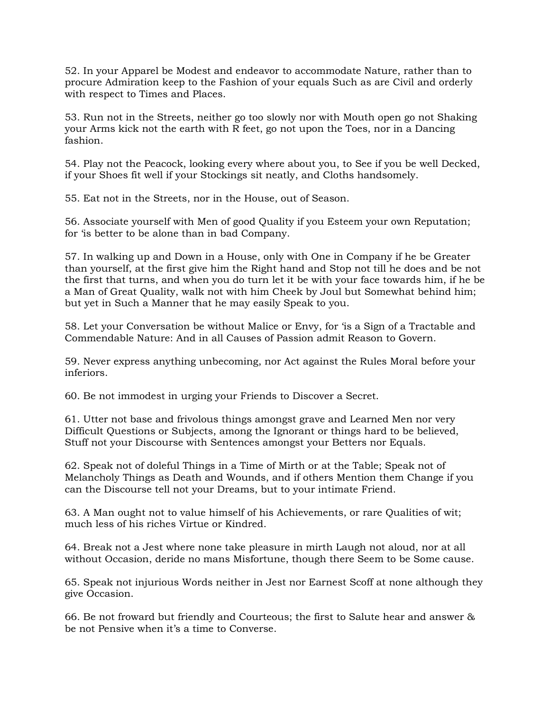52. In your Apparel be Modest and endeavor to accommodate Nature, rather than to procure Admiration keep to the Fashion of your equals Such as are Civil and orderly with respect to Times and Places.

53. Run not in the Streets, neither go too slowly nor with Mouth open go not Shaking your Arms kick not the earth with R feet, go not upon the Toes, nor in a Dancing fashion.

54. Play not the Peacock, looking every where about you, to See if you be well Decked, if your Shoes fit well if your Stockings sit neatly, and Cloths handsomely.

55. Eat not in the Streets, nor in the House, out of Season.

56. Associate yourself with Men of good Quality if you Esteem your own Reputation; for 'is better to be alone than in bad Company.

57. In walking up and Down in a House, only with One in Company if he be Greater than yourself, at the first give him the Right hand and Stop not till he does and be not the first that turns, and when you do turn let it be with your face towards him, if he be a Man of Great Quality, walk not with him Cheek by Joul but Somewhat behind him; but yet in Such a Manner that he may easily Speak to you.

58. Let your Conversation be without Malice or Envy, for 'is a Sign of a Tractable and Commendable Nature: And in all Causes of Passion admit Reason to Govern.

59. Never express anything unbecoming, nor Act against the Rules Moral before your inferiors.

60. Be not immodest in urging your Friends to Discover a Secret.

61. Utter not base and frivolous things amongst grave and Learned Men nor very Difficult Questions or Subjects, among the Ignorant or things hard to be believed, Stuff not your Discourse with Sentences amongst your Betters nor Equals.

62. Speak not of doleful Things in a Time of Mirth or at the Table; Speak not of Melancholy Things as Death and Wounds, and if others Mention them Change if you can the Discourse tell not your Dreams, but to your intimate Friend.

63. A Man ought not to value himself of his Achievements, or rare Qualities of wit; much less of his riches Virtue or Kindred.

64. Break not a Jest where none take pleasure in mirth Laugh not aloud, nor at all without Occasion, deride no mans Misfortune, though there Seem to be Some cause.

65. Speak not injurious Words neither in Jest nor Earnest Scoff at none although they give Occasion.

66. Be not froward but friendly and Courteous; the first to Salute hear and answer & be not Pensive when it's a time to Converse.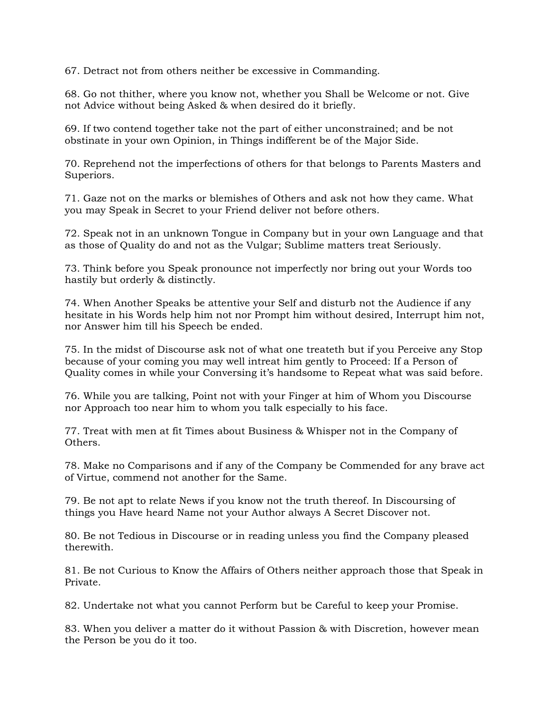67. Detract not from others neither be excessive in Commanding.

68. Go not thither, where you know not, whether you Shall be Welcome or not. Give not Advice without being Asked & when desired do it briefly.

69. If two contend together take not the part of either unconstrained; and be not obstinate in your own Opinion, in Things indifferent be of the Major Side.

70. Reprehend not the imperfections of others for that belongs to Parents Masters and Superiors.

71. Gaze not on the marks or blemishes of Others and ask not how they came. What you may Speak in Secret to your Friend deliver not before others.

72. Speak not in an unknown Tongue in Company but in your own Language and that as those of Quality do and not as the Vulgar; Sublime matters treat Seriously.

73. Think before you Speak pronounce not imperfectly nor bring out your Words too hastily but orderly & distinctly.

74. When Another Speaks be attentive your Self and disturb not the Audience if any hesitate in his Words help him not nor Prompt him without desired, Interrupt him not, nor Answer him till his Speech be ended.

75. In the midst of Discourse ask not of what one treateth but if you Perceive any Stop because of your coming you may well intreat him gently to Proceed: If a Person of Quality comes in while your Conversing it's handsome to Repeat what was said before.

76. While you are talking, Point not with your Finger at him of Whom you Discourse nor Approach too near him to whom you talk especially to his face.

77. Treat with men at fit Times about Business & Whisper not in the Company of Others.

78. Make no Comparisons and if any of the Company be Commended for any brave act of Virtue, commend not another for the Same.

79. Be not apt to relate News if you know not the truth thereof. In Discoursing of things you Have heard Name not your Author always A Secret Discover not.

80. Be not Tedious in Discourse or in reading unless you find the Company pleased therewith.

81. Be not Curious to Know the Affairs of Others neither approach those that Speak in Private.

82. Undertake not what you cannot Perform but be Careful to keep your Promise.

83. When you deliver a matter do it without Passion & with Discretion, however mean the Person be you do it too.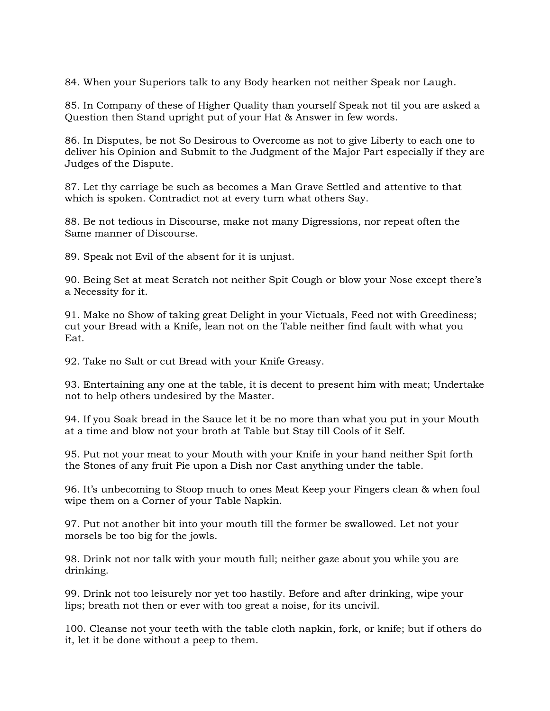84. When your Superiors talk to any Body hearken not neither Speak nor Laugh.

85. In Company of these of Higher Quality than yourself Speak not til you are asked a Question then Stand upright put of your Hat & Answer in few words.

86. In Disputes, be not So Desirous to Overcome as not to give Liberty to each one to deliver his Opinion and Submit to the Judgment of the Major Part especially if they are Judges of the Dispute.

87. Let thy carriage be such as becomes a Man Grave Settled and attentive to that which is spoken. Contradict not at every turn what others Say.

88. Be not tedious in Discourse, make not many Digressions, nor repeat often the Same manner of Discourse.

89. Speak not Evil of the absent for it is unjust.

90. Being Set at meat Scratch not neither Spit Cough or blow your Nose except there's a Necessity for it.

91. Make no Show of taking great Delight in your Victuals, Feed not with Greediness; cut your Bread with a Knife, lean not on the Table neither find fault with what you Eat.

92. Take no Salt or cut Bread with your Knife Greasy.

93. Entertaining any one at the table, it is decent to present him with meat; Undertake not to help others undesired by the Master.

94. If you Soak bread in the Sauce let it be no more than what you put in your Mouth at a time and blow not your broth at Table but Stay till Cools of it Self.

95. Put not your meat to your Mouth with your Knife in your hand neither Spit forth the Stones of any fruit Pie upon a Dish nor Cast anything under the table.

96. It's unbecoming to Stoop much to ones Meat Keep your Fingers clean & when foul wipe them on a Corner of your Table Napkin.

97. Put not another bit into your mouth till the former be swallowed. Let not your morsels be too big for the jowls.

98. Drink not nor talk with your mouth full; neither gaze about you while you are drinking.

99. Drink not too leisurely nor yet too hastily. Before and after drinking, wipe your lips; breath not then or ever with too great a noise, for its uncivil.

100. Cleanse not your teeth with the table cloth napkin, fork, or knife; but if others do it, let it be done without a peep to them.